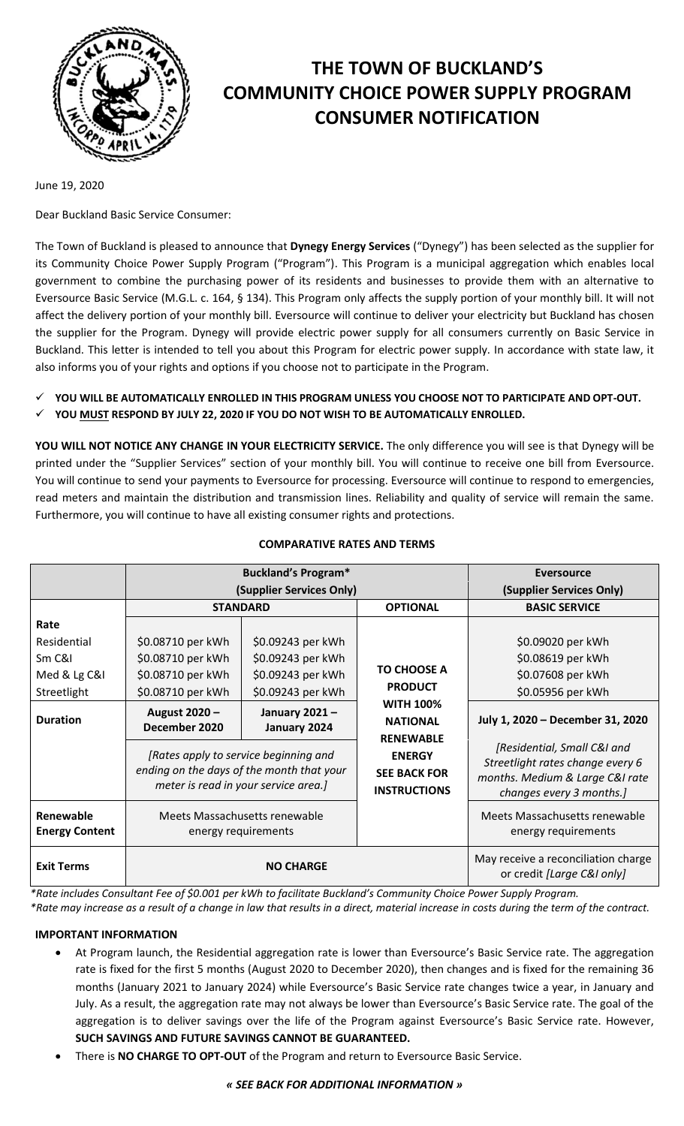

# **THE TOWN OF BUCKLAND'S COMMUNITY CHOICE POWER SUPPLY PROGRAM CONSUMER NOTIFICATION**

June 19, 2020

Dear Buckland Basic Service Consumer:

The Town of Buckland is pleased to announce that **Dynegy Energy Services** ("Dynegy") has been selected as the supplier for its Community Choice Power Supply Program ("Program"). This Program is a municipal aggregation which enables local government to combine the purchasing power of its residents and businesses to provide them with an alternative to Eversource Basic Service (M.G.L. c. 164, § 134). This Program only affects the supply portion of your monthly bill. It will not affect the delivery portion of your monthly bill. Eversource will continue to deliver your electricity but Buckland has chosen the supplier for the Program. Dynegy will provide electric power supply for all consumers currently on Basic Service in Buckland. This letter is intended to tell you about this Program for electric power supply. In accordance with state law, it also informs you of your rights and options if you choose not to participate in the Program.

- **YOU WILL BE AUTOMATICALLY ENROLLED IN THIS PROGRAM UNLESS YOU CHOOSE NOT TO PARTICIPATE AND OPT-OUT.**
- **YOU MUST RESPOND BY JULY 22, 2020 IF YOU DO NOT WISH TO BE AUTOMATICALLY ENROLLED.**

**YOU WILL NOT NOTICE ANY CHANGE IN YOUR ELECTRICITY SERVICE.** The only difference you will see is that Dynegy will be printed under the "Supplier Services" section of your monthly bill. You will continue to receive one bill from Eversource. You will continue to send your payments to Eversource for processing. Eversource will continue to respond to emergencies, read meters and maintain the distribution and transmission lines. Reliability and quality of service will remain the same. Furthermore, you will continue to have all existing consumer rights and protections.

|                                    | <b>Buckland's Program*</b>                                                                                                 |                               |                                                             | <b>Eversource</b>                                                                                                              |
|------------------------------------|----------------------------------------------------------------------------------------------------------------------------|-------------------------------|-------------------------------------------------------------|--------------------------------------------------------------------------------------------------------------------------------|
|                                    | (Supplier Services Only)                                                                                                   |                               |                                                             | (Supplier Services Only)                                                                                                       |
|                                    | <b>STANDARD</b>                                                                                                            |                               | <b>OPTIONAL</b>                                             | <b>BASIC SERVICE</b>                                                                                                           |
| Rate                               |                                                                                                                            |                               |                                                             |                                                                                                                                |
| Residential                        | \$0.08710 per kWh                                                                                                          | \$0.09243 per kWh             |                                                             | \$0.09020 per kWh                                                                                                              |
| Sm C&I                             | \$0.08710 per kWh                                                                                                          | \$0.09243 per kWh             | <b>TO CHOOSE A</b><br><b>PRODUCT</b>                        | \$0.08619 per kWh                                                                                                              |
| Med & Lg C&I                       | \$0.08710 per kWh                                                                                                          | \$0.09243 per kWh             |                                                             | \$0.07608 per kWh                                                                                                              |
| Streetlight                        | \$0.08710 per kWh                                                                                                          | \$0.09243 per kWh             |                                                             | \$0.05956 per kWh                                                                                                              |
| <b>Duration</b>                    | August 2020 -<br>December 2020                                                                                             | January 2021-<br>January 2024 | <b>WITH 100%</b><br><b>NATIONAL</b><br><b>RENEWABLE</b>     | July 1, 2020 - December 31, 2020                                                                                               |
|                                    | [Rates apply to service beginning and<br>ending on the days of the month that your<br>meter is read in your service area.] |                               | <b>ENERGY</b><br><b>SEE BACK FOR</b><br><b>INSTRUCTIONS</b> | [Residential, Small C&I and<br>Streetlight rates change every 6<br>months. Medium & Large C&I rate<br>changes every 3 months.] |
| Renewable<br><b>Energy Content</b> | Meets Massachusetts renewable<br>energy requirements                                                                       |                               |                                                             | Meets Massachusetts renewable<br>energy requirements                                                                           |
| <b>Exit Terms</b>                  | <b>NO CHARGE</b>                                                                                                           |                               |                                                             | May receive a reconciliation charge<br>or credit [Large C&I only]                                                              |

## **COMPARATIVE RATES AND TERMS**

*\*Rate includes Consultant Fee of \$0.001 per kWh to facilitate Buckland's Community Choice Power Supply Program.*

*\*Rate may increase as a result of a change in law that results in a direct, material increase in costs during the term of the contract.*

## **IMPORTANT INFORMATION**

- At Program launch, the Residential aggregation rate is lower than Eversource's Basic Service rate. The aggregation rate is fixed for the first 5 months (August 2020 to December 2020), then changes and is fixed for the remaining 36 months (January 2021 to January 2024) while Eversource's Basic Service rate changes twice a year, in January and July. As a result, the aggregation rate may not always be lower than Eversource's Basic Service rate. The goal of the aggregation is to deliver savings over the life of the Program against Eversource's Basic Service rate. However, **SUCH SAVINGS AND FUTURE SAVINGS CANNOT BE GUARANTEED.**
- There is **NO CHARGE TO OPT-OUT** of the Program and return to Eversource Basic Service.